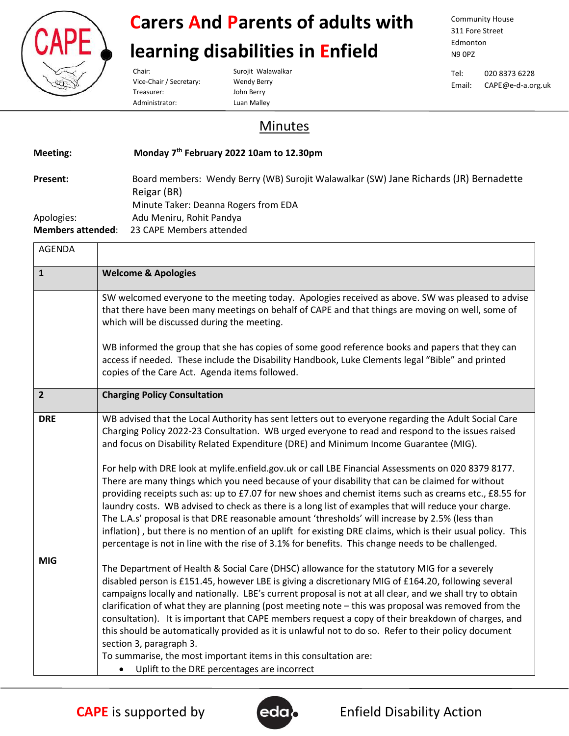

#### **Carers And Parents of adults with**

#### **learning disabilities in Enfield**

Vice-Chair / Secretary: Wendy Berry Treasurer: John Berry Administrator: Luan Malley

Chair: Surojit Walawalkar

Community House 311 Fore Street Edmonton N9 0PZ

Tel: 020 8373 6228 Email: CAPE@e-d-a.org.uk

#### Minutes

| Meeting:                 | Monday 7 <sup>th</sup> February 2022 10am to 12.30pm                                  |
|--------------------------|---------------------------------------------------------------------------------------|
| Present:                 | Board members: Wendy Berry (WB) Surojit Walawalkar (SW) Jane Richards (JR) Bernadette |
|                          | Reigar (BR)                                                                           |
|                          | Minute Taker: Deanna Rogers from EDA                                                  |
| Apologies:               | Adu Meniru, Rohit Pandya                                                              |
| <b>Members attended:</b> | 23 CAPE Members attended                                                              |
| <b>ACENIDA</b>           |                                                                                       |

| AULINDA        |                                                                                                                                                                                                                                                                                                                                                                                                                                                                                                                                                                                                                                                                                                                                                                                                 |
|----------------|-------------------------------------------------------------------------------------------------------------------------------------------------------------------------------------------------------------------------------------------------------------------------------------------------------------------------------------------------------------------------------------------------------------------------------------------------------------------------------------------------------------------------------------------------------------------------------------------------------------------------------------------------------------------------------------------------------------------------------------------------------------------------------------------------|
| $\mathbf{1}$   | <b>Welcome &amp; Apologies</b>                                                                                                                                                                                                                                                                                                                                                                                                                                                                                                                                                                                                                                                                                                                                                                  |
|                | SW welcomed everyone to the meeting today. Apologies received as above. SW was pleased to advise<br>that there have been many meetings on behalf of CAPE and that things are moving on well, some of<br>which will be discussed during the meeting.                                                                                                                                                                                                                                                                                                                                                                                                                                                                                                                                             |
|                | WB informed the group that she has copies of some good reference books and papers that they can<br>access if needed. These include the Disability Handbook, Luke Clements legal "Bible" and printed<br>copies of the Care Act. Agenda items followed.                                                                                                                                                                                                                                                                                                                                                                                                                                                                                                                                           |
| $\overline{2}$ | <b>Charging Policy Consultation</b>                                                                                                                                                                                                                                                                                                                                                                                                                                                                                                                                                                                                                                                                                                                                                             |
| <b>DRE</b>     | WB advised that the Local Authority has sent letters out to everyone regarding the Adult Social Care<br>Charging Policy 2022-23 Consultation. WB urged everyone to read and respond to the issues raised<br>and focus on Disability Related Expenditure (DRE) and Minimum Income Guarantee (MIG).<br>For help with DRE look at mylife.enfield.gov.uk or call LBE Financial Assessments on 020 8379 8177.<br>There are many things which you need because of your disability that can be claimed for without<br>providing receipts such as: up to £7.07 for new shoes and chemist items such as creams etc., £8.55 for<br>laundry costs. WB advised to check as there is a long list of examples that will reduce your charge.                                                                   |
|                | The L.A.s' proposal is that DRE reasonable amount 'thresholds' will increase by 2.5% (less than<br>inflation), but there is no mention of an uplift for existing DRE claims, which is their usual policy. This<br>percentage is not in line with the rise of 3.1% for benefits. This change needs to be challenged.                                                                                                                                                                                                                                                                                                                                                                                                                                                                             |
| <b>MIG</b>     | The Department of Health & Social Care (DHSC) allowance for the statutory MIG for a severely<br>disabled person is £151.45, however LBE is giving a discretionary MIG of £164.20, following several<br>campaigns locally and nationally. LBE's current proposal is not at all clear, and we shall try to obtain<br>clarification of what they are planning (post meeting note - this was proposal was removed from the<br>consultation). It is important that CAPE members request a copy of their breakdown of charges, and<br>this should be automatically provided as it is unlawful not to do so. Refer to their policy document<br>section 3, paragraph 3.<br>To summarise, the most important items in this consultation are:<br>Uplift to the DRE percentages are incorrect<br>$\bullet$ |

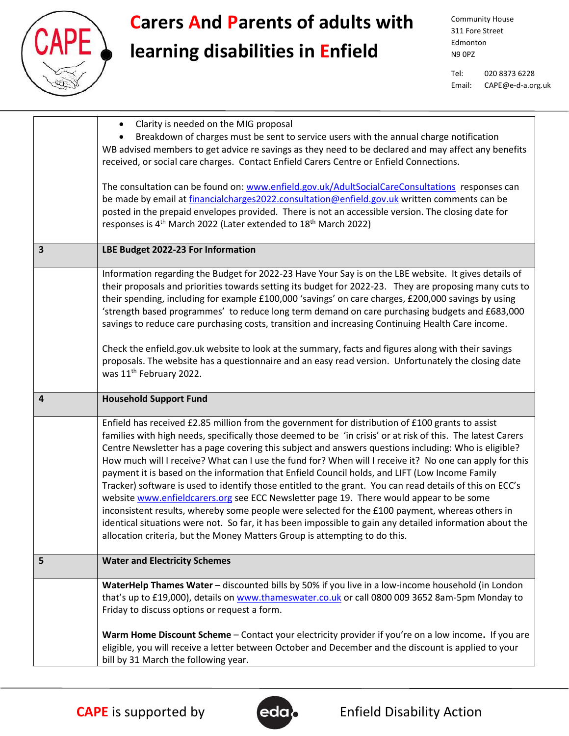

## **Carers And Parents of adults with**

### **learning disabilities in Enfield**

Community House 311 Fore Street Edmonton N9 0PZ

Tel: 020 8373 6228 Email: CAPE@e-d-a.org.uk

|   | Clarity is needed on the MIG proposal<br>$\bullet$                                                          |
|---|-------------------------------------------------------------------------------------------------------------|
|   | Breakdown of charges must be sent to service users with the annual charge notification                      |
|   | WB advised members to get advice re savings as they need to be declared and may affect any benefits         |
|   | received, or social care charges. Contact Enfield Carers Centre or Enfield Connections.                     |
|   |                                                                                                             |
|   | The consultation can be found on: www.enfield.gov.uk/AdultSocialCareConsultations responses can             |
|   | be made by email at financialcharges2022.consultation@enfield.gov.uk written comments can be                |
|   | posted in the prepaid envelopes provided. There is not an accessible version. The closing date for          |
|   | responses is 4 <sup>th</sup> March 2022 (Later extended to 18 <sup>th</sup> March 2022)                     |
|   |                                                                                                             |
| 3 | LBE Budget 2022-23 For Information                                                                          |
|   |                                                                                                             |
|   | Information regarding the Budget for 2022-23 Have Your Say is on the LBE website. It gives details of       |
|   | their proposals and priorities towards setting its budget for 2022-23. They are proposing many cuts to      |
|   | their spending, including for example £100,000 'savings' on care charges, £200,000 savings by using         |
|   | 'strength based programmes' to reduce long term demand on care purchasing budgets and £683,000              |
|   | savings to reduce care purchasing costs, transition and increasing Continuing Health Care income.           |
|   |                                                                                                             |
|   | Check the enfield.gov.uk website to look at the summary, facts and figures along with their savings         |
|   | proposals. The website has a questionnaire and an easy read version. Unfortunately the closing date         |
|   | was 11 <sup>th</sup> February 2022.                                                                         |
|   |                                                                                                             |
|   |                                                                                                             |
| 4 | <b>Household Support Fund</b>                                                                               |
|   | Enfield has received £2.85 million from the government for distribution of £100 grants to assist            |
|   | families with high needs, specifically those deemed to be 'in crisis' or at risk of this. The latest Carers |
|   | Centre Newsletter has a page covering this subject and answers questions including: Who is eligible?        |
|   | How much will I receive? What can I use the fund for? When will I receive it? No one can apply for this     |
|   | payment it is based on the information that Enfield Council holds, and LIFT (Low Income Family              |
|   | Tracker) software is used to identify those entitled to the grant. You can read details of this on ECC's    |
|   | website www.enfieldcarers.org see ECC Newsletter page 19. There would appear to be some                     |
|   | inconsistent results, whereby some people were selected for the £100 payment, whereas others in             |
|   | identical situations were not. So far, it has been impossible to gain any detailed information about the    |
|   | allocation criteria, but the Money Matters Group is attempting to do this.                                  |
|   |                                                                                                             |
| 5 | <b>Water and Electricity Schemes</b>                                                                        |
|   | WaterHelp Thames Water - discounted bills by 50% if you live in a low-income household (in London           |
|   | that's up to £19,000), details on www.thameswater.co.uk or call 0800 009 3652 8am-5pm Monday to             |
|   | Friday to discuss options or request a form.                                                                |
|   | Warm Home Discount Scheme - Contact your electricity provider if you're on a low income. If you are         |
|   | eligible, you will receive a letter between October and December and the discount is applied to your        |

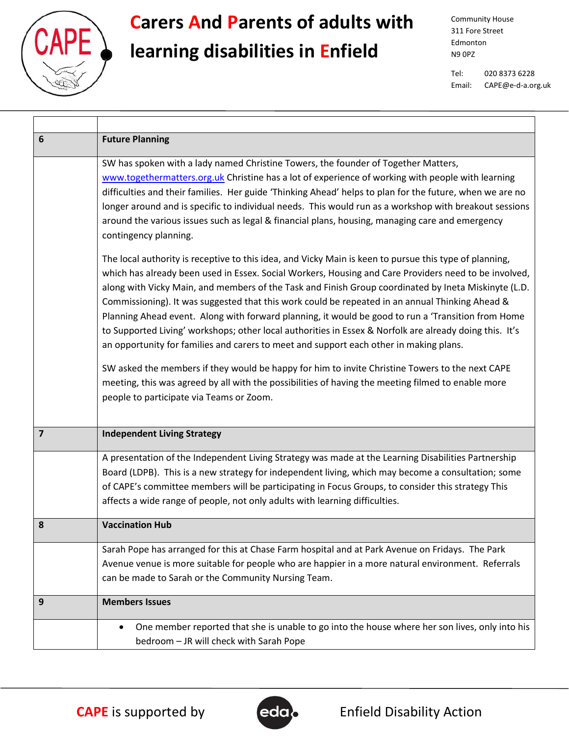

# **Carers And Parents of adults with**

### **learning disabilities in Enfield**

Community House 311 Fore Street Edmonton N9 0PZ

Tel: 020 8373 6228 Email: CAPE@e-d-a.org.uk

| 6                       | <b>Future Planning</b>                                                                                                                                                                                                                                                                                                                                                                                                                                                                                                                                                                                                                                                                                                                                                                                                                                                                                                                                                                     |
|-------------------------|--------------------------------------------------------------------------------------------------------------------------------------------------------------------------------------------------------------------------------------------------------------------------------------------------------------------------------------------------------------------------------------------------------------------------------------------------------------------------------------------------------------------------------------------------------------------------------------------------------------------------------------------------------------------------------------------------------------------------------------------------------------------------------------------------------------------------------------------------------------------------------------------------------------------------------------------------------------------------------------------|
|                         | SW has spoken with a lady named Christine Towers, the founder of Together Matters,<br>www.togethermatters.org.uk Christine has a lot of experience of working with people with learning<br>difficulties and their families. Her guide 'Thinking Ahead' helps to plan for the future, when we are no<br>longer around and is specific to individual needs. This would run as a workshop with breakout sessions<br>around the various issues such as legal & financial plans, housing, managing care and emergency<br>contingency planning.                                                                                                                                                                                                                                                                                                                                                                                                                                                  |
|                         | The local authority is receptive to this idea, and Vicky Main is keen to pursue this type of planning,<br>which has already been used in Essex. Social Workers, Housing and Care Providers need to be involved,<br>along with Vicky Main, and members of the Task and Finish Group coordinated by Ineta Miskinyte (L.D.<br>Commissioning). It was suggested that this work could be repeated in an annual Thinking Ahead &<br>Planning Ahead event. Along with forward planning, it would be good to run a 'Transition from Home<br>to Supported Living' workshops; other local authorities in Essex & Norfolk are already doing this. It's<br>an opportunity for families and carers to meet and support each other in making plans.<br>SW asked the members if they would be happy for him to invite Christine Towers to the next CAPE<br>meeting, this was agreed by all with the possibilities of having the meeting filmed to enable more<br>people to participate via Teams or Zoom. |
| $\overline{\mathbf{z}}$ | <b>Independent Living Strategy</b>                                                                                                                                                                                                                                                                                                                                                                                                                                                                                                                                                                                                                                                                                                                                                                                                                                                                                                                                                         |
|                         | A presentation of the Independent Living Strategy was made at the Learning Disabilities Partnership<br>Board (LDPB). This is a new strategy for independent living, which may become a consultation; some<br>of CAPE's committee members will be participating in Focus Groups, to consider this strategy This<br>affects a wide range of people, not only adults with learning difficulties.                                                                                                                                                                                                                                                                                                                                                                                                                                                                                                                                                                                              |
| 8                       | <b>Vaccination Hub</b>                                                                                                                                                                                                                                                                                                                                                                                                                                                                                                                                                                                                                                                                                                                                                                                                                                                                                                                                                                     |
|                         | Sarah Pope has arranged for this at Chase Farm hospital and at Park Avenue on Fridays. The Park<br>Avenue venue is more suitable for people who are happier in a more natural environment. Referrals<br>can be made to Sarah or the Community Nursing Team.                                                                                                                                                                                                                                                                                                                                                                                                                                                                                                                                                                                                                                                                                                                                |
| 9                       | <b>Members Issues</b>                                                                                                                                                                                                                                                                                                                                                                                                                                                                                                                                                                                                                                                                                                                                                                                                                                                                                                                                                                      |
|                         | One member reported that she is unable to go into the house where her son lives, only into his<br>bedroom - JR will check with Sarah Pope                                                                                                                                                                                                                                                                                                                                                                                                                                                                                                                                                                                                                                                                                                                                                                                                                                                  |